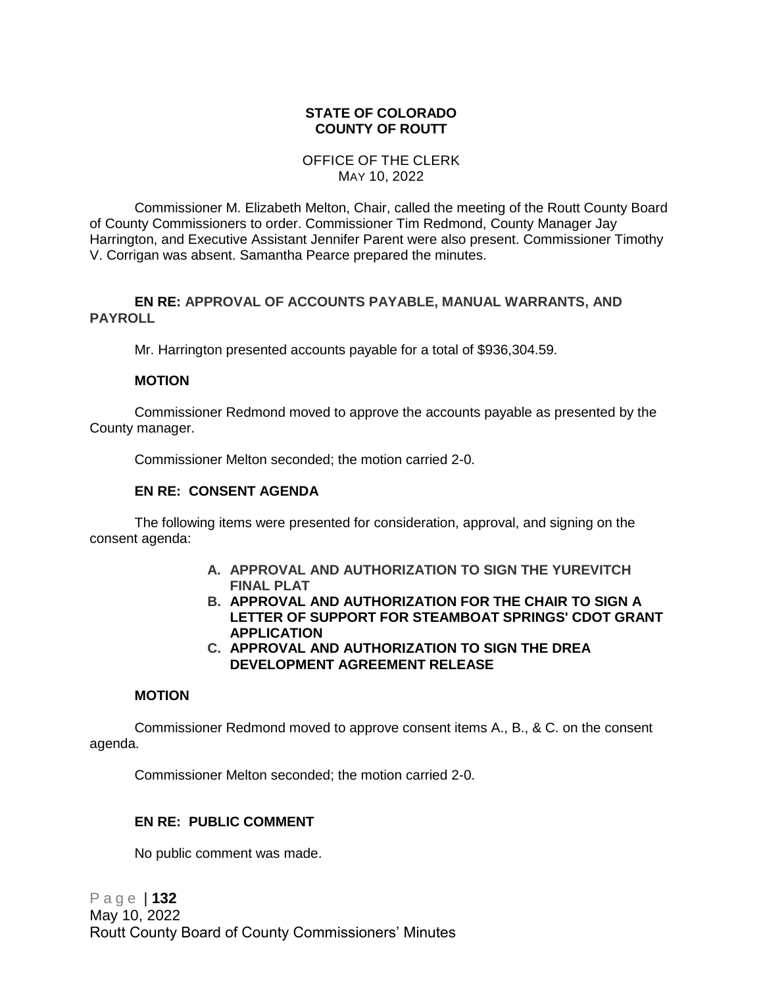### **STATE OF COLORADO COUNTY OF ROUTT**

#### OFFICE OF THE CLERK MAY 10, 2022

Commissioner M. Elizabeth Melton, Chair, called the meeting of the Routt County Board of County Commissioners to order. Commissioner Tim Redmond, County Manager Jay Harrington, and Executive Assistant Jennifer Parent were also present. Commissioner Timothy V. Corrigan was absent. Samantha Pearce prepared the minutes.

### **EN RE: APPROVAL OF ACCOUNTS PAYABLE, MANUAL WARRANTS, AND PAYROLL**

Mr. Harrington presented accounts payable for a total of \$936,304.59.

#### **MOTION**

Commissioner Redmond moved to approve the accounts payable as presented by the County manager.

Commissioner Melton seconded; the motion carried 2-0.

#### **EN RE: CONSENT AGENDA**

The following items were presented for consideration, approval, and signing on the consent agenda:

- **A. APPROVAL AND AUTHORIZATION TO SIGN THE YUREVITCH FINAL PLAT**
- **B. APPROVAL AND AUTHORIZATION FOR THE CHAIR TO SIGN A LETTER OF SUPPORT FOR STEAMBOAT SPRINGS' CDOT GRANT APPLICATION**
- **C. APPROVAL AND AUTHORIZATION TO SIGN THE DREA DEVELOPMENT AGREEMENT RELEASE**

### **MOTION**

Commissioner Redmond moved to approve consent items A., B., & C. on the consent agenda.

Commissioner Melton seconded; the motion carried 2-0.

# **EN RE: PUBLIC COMMENT**

No public comment was made.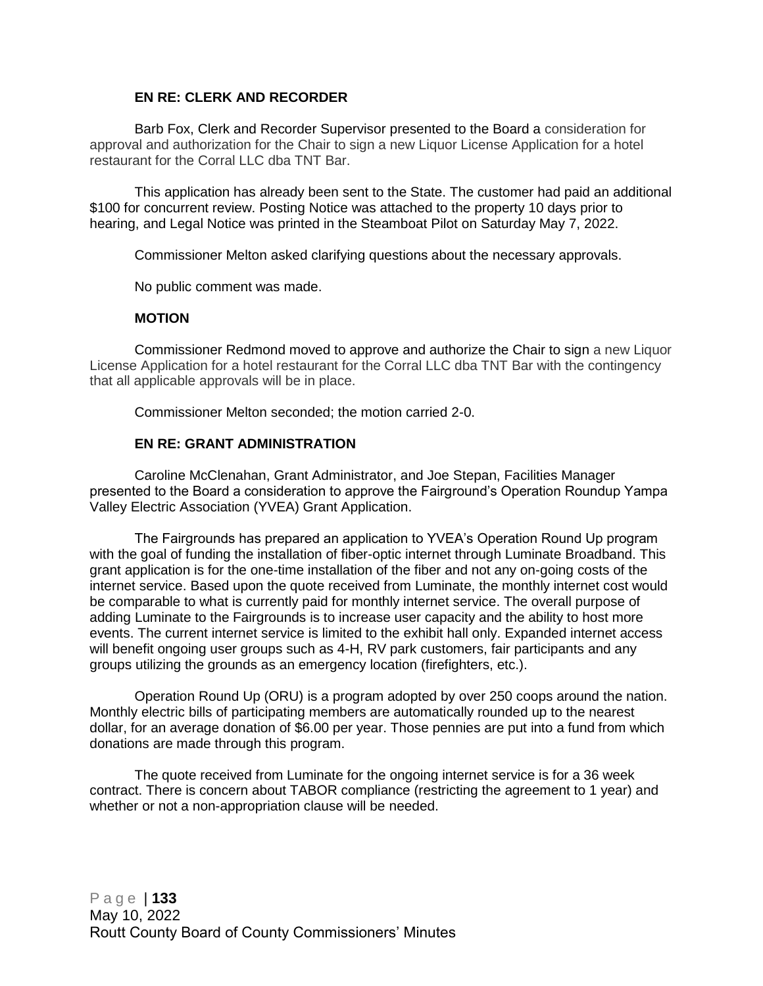# **EN RE: CLERK AND RECORDER**

Barb Fox, Clerk and Recorder Supervisor presented to the Board a consideration for approval and authorization for the Chair to sign a new Liquor License Application for a hotel restaurant for the Corral LLC dba TNT Bar.

This application has already been sent to the State. The customer had paid an additional \$100 for concurrent review. Posting Notice was attached to the property 10 days prior to hearing, and Legal Notice was printed in the Steamboat Pilot on Saturday May 7, 2022.

Commissioner Melton asked clarifying questions about the necessary approvals.

No public comment was made.

### **MOTION**

Commissioner Redmond moved to approve and authorize the Chair to sign a new Liquor License Application for a hotel restaurant for the Corral LLC dba TNT Bar with the contingency that all applicable approvals will be in place.

Commissioner Melton seconded; the motion carried 2-0.

### **EN RE: GRANT ADMINISTRATION**

Caroline McClenahan, Grant Administrator, and Joe Stepan, Facilities Manager presented to the Board a consideration to approve the Fairground's Operation Roundup Yampa Valley Electric Association (YVEA) Grant Application.

The Fairgrounds has prepared an application to YVEA's Operation Round Up program with the goal of funding the installation of fiber-optic internet through Luminate Broadband. This grant application is for the one-time installation of the fiber and not any on-going costs of the internet service. Based upon the quote received from Luminate, the monthly internet cost would be comparable to what is currently paid for monthly internet service. The overall purpose of adding Luminate to the Fairgrounds is to increase user capacity and the ability to host more events. The current internet service is limited to the exhibit hall only. Expanded internet access will benefit ongoing user groups such as 4-H, RV park customers, fair participants and any groups utilizing the grounds as an emergency location (firefighters, etc.).

Operation Round Up (ORU) is a program adopted by over 250 coops around the nation. Monthly electric bills of participating members are automatically rounded up to the nearest dollar, for an average donation of \$6.00 per year. Those pennies are put into a fund from which donations are made through this program.

The quote received from Luminate for the ongoing internet service is for a 36 week contract. There is concern about TABOR compliance (restricting the agreement to 1 year) and whether or not a non-appropriation clause will be needed.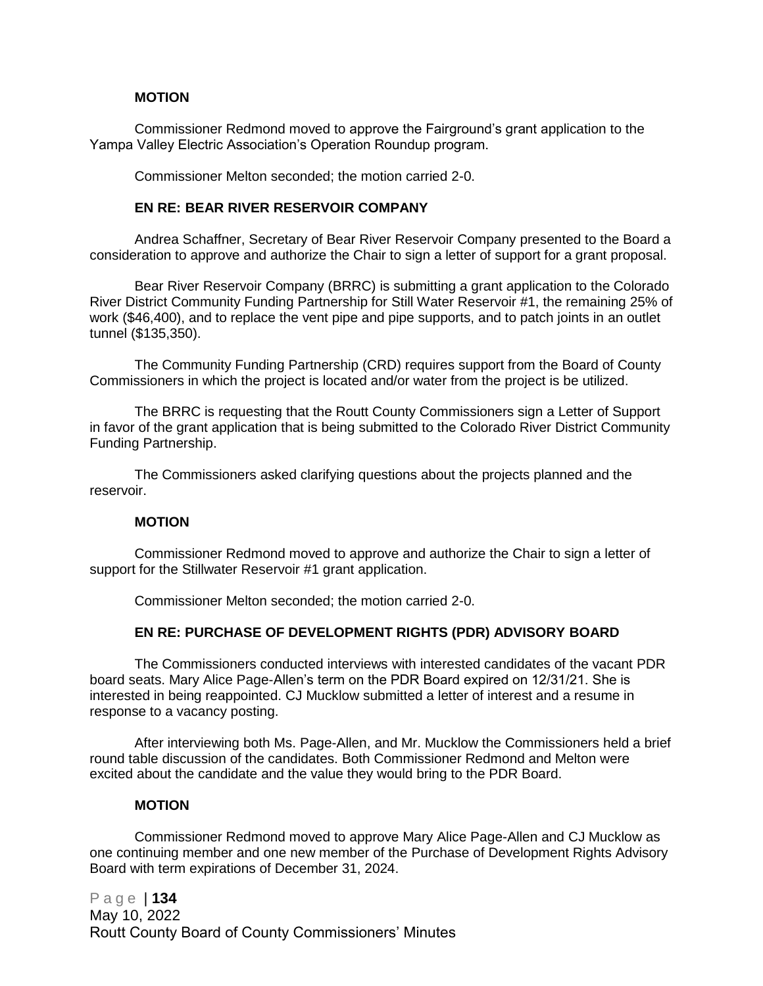#### **MOTION**

Commissioner Redmond moved to approve the Fairground's grant application to the Yampa Valley Electric Association's Operation Roundup program.

Commissioner Melton seconded; the motion carried 2-0.

#### **EN RE: BEAR RIVER RESERVOIR COMPANY**

Andrea Schaffner, Secretary of Bear River Reservoir Company presented to the Board a consideration to approve and authorize the Chair to sign a letter of support for a grant proposal.

Bear River Reservoir Company (BRRC) is submitting a grant application to the Colorado River District Community Funding Partnership for Still Water Reservoir #1, the remaining 25% of work (\$46,400), and to replace the vent pipe and pipe supports, and to patch joints in an outlet tunnel (\$135,350).

The Community Funding Partnership (CRD) requires support from the Board of County Commissioners in which the project is located and/or water from the project is be utilized.

The BRRC is requesting that the Routt County Commissioners sign a Letter of Support in favor of the grant application that is being submitted to the Colorado River District Community Funding Partnership.

The Commissioners asked clarifying questions about the projects planned and the reservoir.

#### **MOTION**

Commissioner Redmond moved to approve and authorize the Chair to sign a letter of support for the Stillwater Reservoir #1 grant application.

Commissioner Melton seconded; the motion carried 2-0.

### **EN RE: PURCHASE OF DEVELOPMENT RIGHTS (PDR) ADVISORY BOARD**

The Commissioners conducted interviews with interested candidates of the vacant PDR board seats. Mary Alice Page-Allen's term on the PDR Board expired on 12/31/21. She is interested in being reappointed. CJ Mucklow submitted a letter of interest and a resume in response to a vacancy posting.

After interviewing both Ms. Page-Allen, and Mr. Mucklow the Commissioners held a brief round table discussion of the candidates. Both Commissioner Redmond and Melton were excited about the candidate and the value they would bring to the PDR Board.

#### **MOTION**

Commissioner Redmond moved to approve Mary Alice Page-Allen and CJ Mucklow as one continuing member and one new member of the Purchase of Development Rights Advisory Board with term expirations of December 31, 2024.

P a g e | **134** May 10, 2022 Routt County Board of County Commissioners' Minutes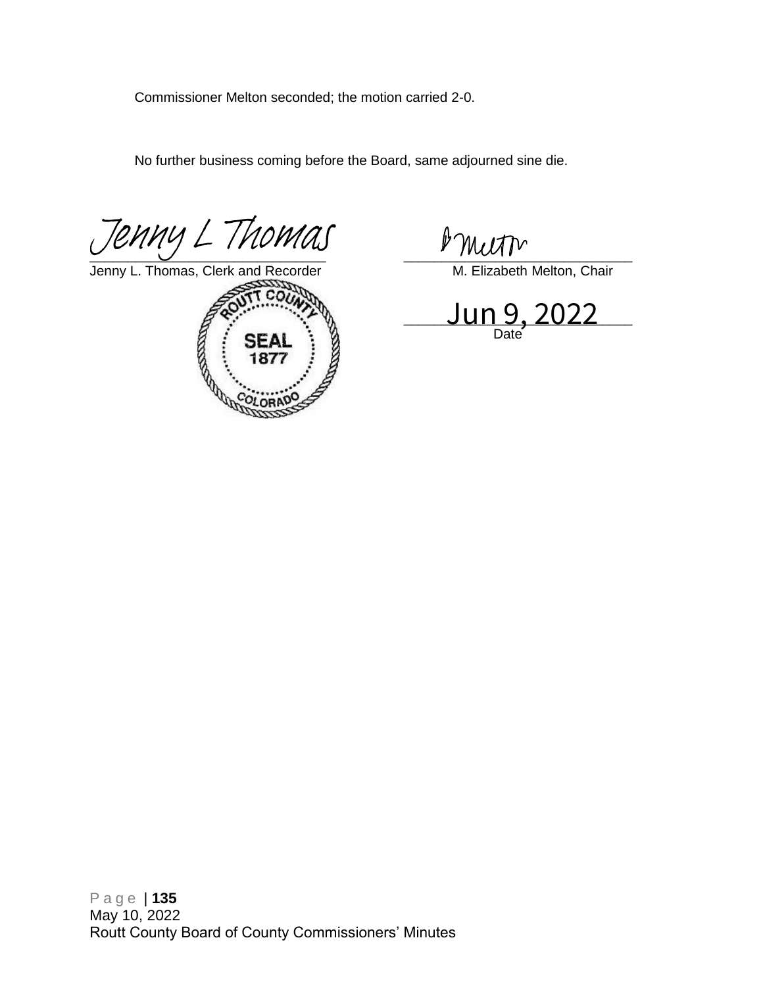Commissioner Melton seconded; the motion carried 2-0.

No further business coming before the Board, same adjourned sine die.

 $\frac{1}{\sqrt{1-\frac{1}{2}}\sqrt{1-\frac{1}{2}}\sqrt{1-\frac{1}{2}}\sqrt{1-\frac{1}{2}}\sqrt{1-\frac{1}{2}}\sqrt{1-\frac{1}{2}}\sqrt{1-\frac{1}{2}}\sqrt{1-\frac{1}{2}}\sqrt{1-\frac{1}{2}}\sqrt{1-\frac{1}{2}}\sqrt{1-\frac{1}{2}}\sqrt{1-\frac{1}{2}}\sqrt{1-\frac{1}{2}}\sqrt{1-\frac{1}{2}}\sqrt{1-\frac{1}{2}}\sqrt{1-\frac{1}{2}}\sqrt{1-\frac{1}{2}}\sqrt{1-\frac{1}{2}}\sqrt{1-\frac{1}{2}}\sqrt{1-\frac$ *[Jenny L Thomas](https://na4.documents.adobe.com/verifier?tx=CBJCHBCAABAAXKCRjLbVgVz7GQzOigZ_WAKodh_zwCEf)*<br>Jenny L. Thomas, Clerk and Recorder<br> $\frac{\partial W}{\partial t}$  M. Elizabeth Melton, Ch

Jenny L. Thomas[, Clerk and Recorder](https://na4.documents.adobe.com/verifier?tx=CBJCHBCAABAAXKCRjLbVgVz7GQzOigZ_WAKodh_zwCEf) M. Elizabeth Melton, Chair



 $\Box$  JUN 9, ZUZZ $\Box$ Date